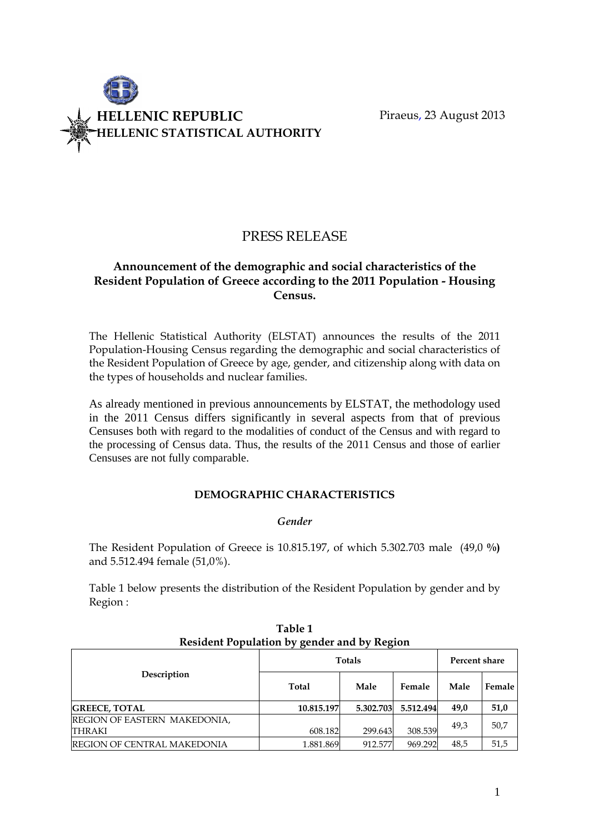

# PRESS RELEASE

## Announcement of the demographic and social characteristics of the Resident Population of Greece according to the 2011 Population - Housing Census.

The Hellenic Statistical Authority (ELSTAT) announces the results of the 2011 Population-Housing Census regarding the demographic and social characteristics of the Resident Population of Greece by age, gender, and citizenship along with data on the types of households and nuclear families.

As already mentioned in previous announcements by ELSTAT, the methodology used in the 2011 Census differs significantly in several aspects from that of previous Censuses both with regard to the modalities of conduct of the Census and with regard to the processing of Census data. Thus, the results of the 2011 Census and those of earlier Censuses are not fully comparable.

## DEMOGRAPHIC CHARACTERISTICS

#### Gender

The Resident Population of Greece is 10.815.197, of which 5.302.703 male (49,0 %) and 5.512.494 female (51,0%).

Table 1 below presents the distribution of the Resident Population by gender and by Region :

|                                               | , , ,         |               |           |      |        |
|-----------------------------------------------|---------------|---------------|-----------|------|--------|
|                                               | <b>Totals</b> | Percent share |           |      |        |
| Description                                   | Total         | Male          | Female    | Male | Female |
| <b>GREECE, TOTAL</b>                          | 10.815.197    | 5.302.703     | 5.512.494 | 49.0 | 51,0   |
| REGION OF EASTERN MAKEDONIA,<br><b>THRAKI</b> | 608.182       | 299.643       | 308.539   | 49.3 | 50,7   |
| <b>REGION OF CENTRAL MAKEDONIA</b>            | 1.881.869     | 912.577       | 969.292   | 48,5 | 51,5   |

Table 1 Resident Population by gender and by Region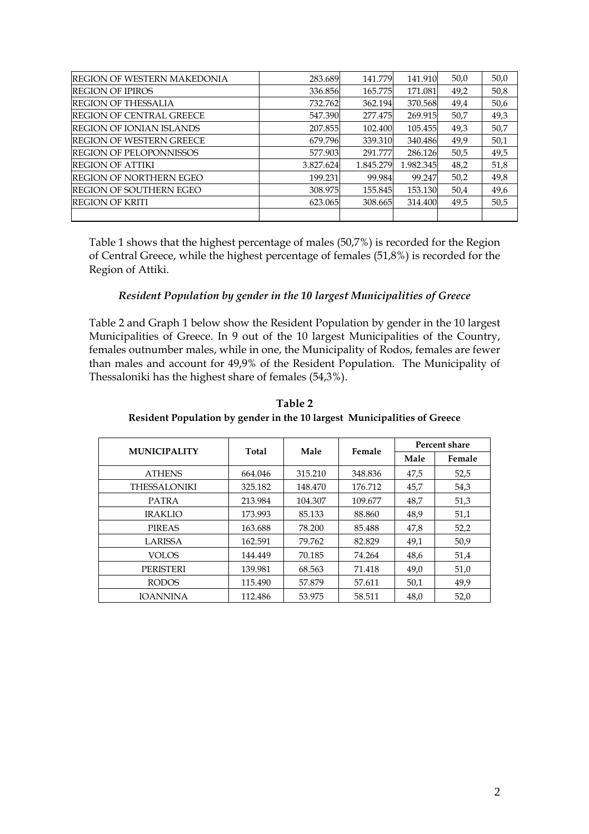| <b>REGION OF WESTERN MAKEDONIA</b> | 283.689   | 141.779   | 141.910   | 50,0 | 50,0 |
|------------------------------------|-----------|-----------|-----------|------|------|
| <b>REGION OF IPIROS</b>            | 336.856   | 165.775   | 171.081   | 49,2 | 50,8 |
| <b>REGION OF THESSALIA</b>         | 732.762   | 362.194   | 370.568   | 49,4 | 50,6 |
| <b>REGION OF CENTRAL GREECE</b>    | 547.390   | 277.475   | 269.915   | 50,7 | 49,3 |
| <b>REGION OF IONIAN ISLANDS</b>    | 207.855   | 102.400   | 105.455   | 49,3 | 50,7 |
| <b>REGION OF WESTERN GREECE</b>    | 679.796   | 339.310   | 340.486   | 49.9 | 50,1 |
| <b>REGION OF PELOPONNISSOS</b>     | 577.903   | 291.777   | 286.126   | 50,5 | 49,5 |
| <b>REGION OF ATTIKI</b>            | 3.827.624 | 1.845.279 | 1.982.345 | 48,2 | 51,8 |
| <b>REGION OF NORTHERN EGEO</b>     | 199.231   | 99.984    | 99.247    | 50,2 | 49,8 |
| <b>REGION OF SOUTHERN EGEO</b>     | 308.975   | 155.845   | 153.130   | 50,4 | 49,6 |
| <b>REGION OF KRITI</b>             | 623.065   | 308.665   | 314.400   | 49,5 | 50,5 |
|                                    |           |           |           |      |      |

Table 1 shows that the highest percentage of males (50,7%) is recorded for the Region of Central Greece, while the highest percentage of females (51,8%) is recorded for the Region of Attiki.

#### Resident Population by gender in the 10 largest Municipalities of Greece

Table 2 and Graph 1 below show the Resident Population by gender in the 10 largest Municipalities of Greece. In 9 out of the 10 largest Municipalities of the Country, females outnumber males, while in one, the Municipality of Rodos, females are fewer than males and account for 49,9% of the Resident Population. The Municipality of Thessaloniki has the highest share of females (54,3%).

|                     | <b>MUNICIPALITY</b><br>Male<br><b>Total</b> |         | Female  | Percent share |        |  |
|---------------------|---------------------------------------------|---------|---------|---------------|--------|--|
|                     |                                             |         |         | Male          | Female |  |
| <b>ATHENS</b>       | 664.046                                     | 315.210 | 348.836 | 47,5          | 52,5   |  |
| <b>THESSALONIKI</b> | 325.182                                     | 148.470 | 176.712 | 45,7          | 54,3   |  |
| <b>PATRA</b>        | 213.984                                     | 104.307 | 109.677 | 48,7          | 51,3   |  |
| <b>IRAKLIO</b>      | 173.993                                     | 85.133  | 88.860  | 48,9          | 51,1   |  |
| <b>PIREAS</b>       | 163.688                                     | 78.200  | 85.488  | 47,8          | 52,2   |  |
| <b>LARISSA</b>      | 162.591                                     | 79.762  | 82.829  | 49,1          | 50,9   |  |
| <b>VOLOS</b>        | 144.449                                     | 70.185  | 74.264  | 48,6          | 51,4   |  |
| <b>PERISTERI</b>    | 139.981                                     | 68.563  | 71.418  | 49,0          | 51,0   |  |
| <b>RODOS</b>        | 115.490                                     | 57.879  | 57.611  | 50,1          | 49,9   |  |
| <b>IOANNINA</b>     | 112.486                                     | 53.975  | 58.511  | 48,0          | 52,0   |  |

Table 2 Resident Population by gender in the 10 largest Municipalities of Greece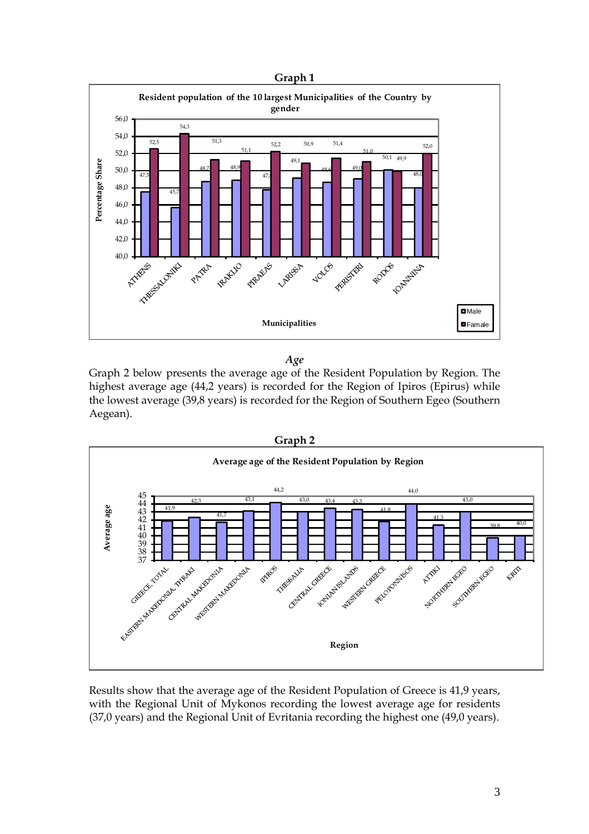

Age

Graph 2 below presents the average age of the Resident Population by Region. The highest average age (44,2 years) is recorded for the Region of Ipiros (Epirus) while the lowest average (39,8 years) is recorded for the Region of Southern Egeo (Southern Aegean).





Results show that the average age of the Resident Population of Greece is 41,9 years, with the Regional Unit of Mykonos recording the lowest average age for residents (37,0 years) and the Regional Unit of Evritania recording the highest one (49,0 years).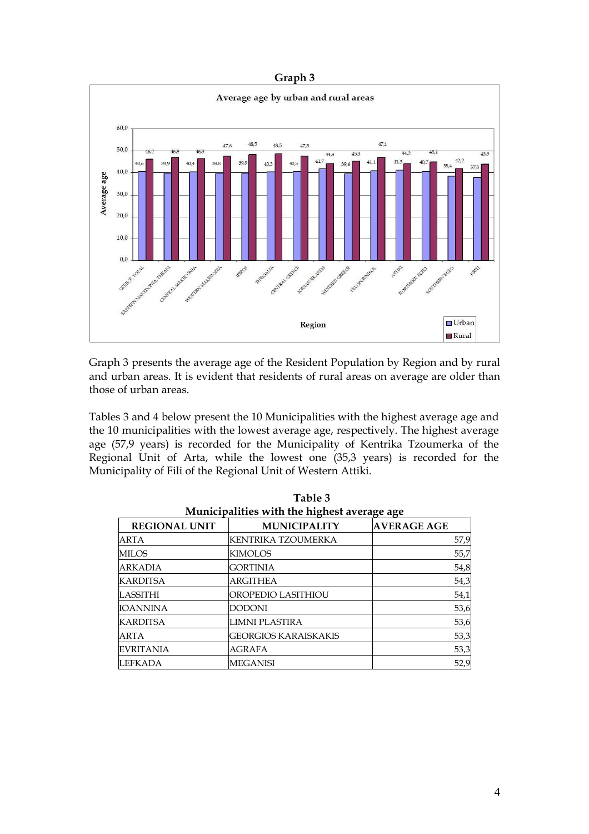

Graph 3 presents the average age of the Resident Population by Region and by rural and urban areas. It is evident that residents of rural areas on average are older than those of urban areas.

Tables 3 and 4 below present the 10 Municipalities with the highest average age and the 10 municipalities with the lowest average age, respectively. The highest average age (57,9 years) is recorded for the Municipality of Kentrika Tzoumerka of the Regional Unit of Arta, while the lowest one (35,3 years) is recorded for the Municipality of Fili of the Regional Unit of Western Attiki.

| Municipalities with the highest average age |                             |                    |  |  |  |
|---------------------------------------------|-----------------------------|--------------------|--|--|--|
| <b>REGIONAL UNIT</b>                        | <b>MUNICIPALITY</b>         | <b>AVERAGE AGE</b> |  |  |  |
| ARTA                                        | KENTRIKA TZOUMERKA          | 57,9               |  |  |  |
| <b>MILOS</b>                                | <b>KIMOLOS</b>              | 55,7               |  |  |  |
| <b>ARKADIA</b>                              | <b>GORTINIA</b>             | 54,8               |  |  |  |
| <b>KARDITSA</b>                             | <b>ARGITHEA</b>             | 54,3               |  |  |  |
| LASSITHI                                    | OROPEDIO LASITHIOU          | 54,1               |  |  |  |
| <b>IOANNINA</b>                             | <b>DODONI</b>               | 53,6               |  |  |  |
| <b>KARDITSA</b>                             | LIMNI PLASTIRA              | 53,6               |  |  |  |
| ARTA                                        | <b>GEORGIOS KARAISKAKIS</b> | 53,3               |  |  |  |
| <b>EVRITANIA</b>                            | AGRAFA                      | 53,3               |  |  |  |
| LEFKADA                                     | <b>MEGANISI</b>             | 52,9               |  |  |  |

Table 3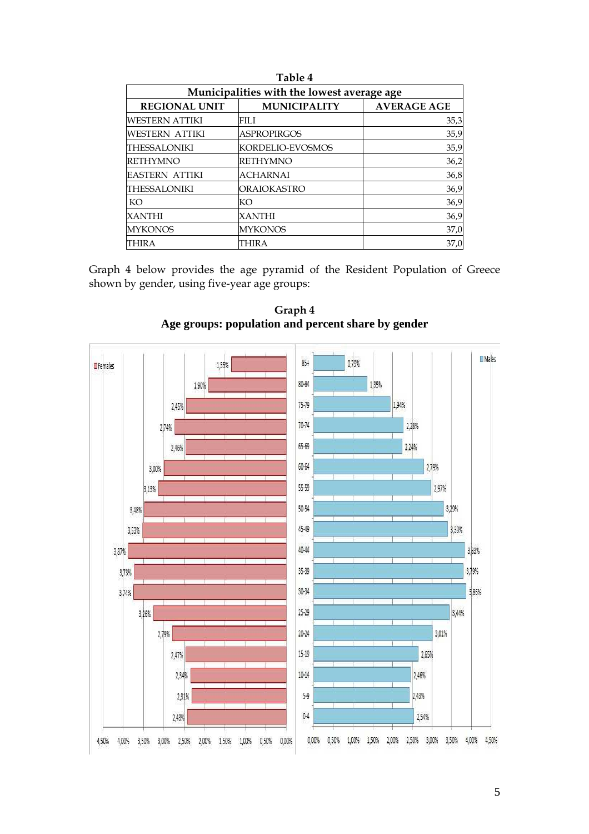| Table 4<br>Municipalities with the lowest average age |                     |                    |  |  |  |
|-------------------------------------------------------|---------------------|--------------------|--|--|--|
| <b>REGIONAL UNIT</b>                                  | <b>MUNICIPALITY</b> | <b>AVERAGE AGE</b> |  |  |  |
| WESTERN ATTIKI                                        | FILI.               | 35,3               |  |  |  |
| WESTERN ATTIKI                                        | <b>ASPROPIRGOS</b>  | 35,9               |  |  |  |
| THESSALONIKI                                          | KORDELIO-EVOSMOS    | 35,9               |  |  |  |
| <b>RETHYMNO</b>                                       | <b>RETHYMNO</b>     | 36,2               |  |  |  |
| <b>EASTERN ATTIKI</b>                                 | <b>ACHARNAI</b>     | 36,8               |  |  |  |
| THESSALONIKI                                          | ORAIOKASTRO         | 36,9               |  |  |  |
| KO                                                    | KО                  | 36,9               |  |  |  |
| XANTHI                                                | XANTHI              | 36,9               |  |  |  |
| <b>MYKONOS</b>                                        | <b>MYKONOS</b>      | 37,0               |  |  |  |
| THIRA                                                 | THIRA               | 37,0               |  |  |  |

Graph 4 below provides the age pyramid of the Resident Population of Greece shown by gender, using five-year age groups:



Graph 4 **Age groups: population and percent share by gender**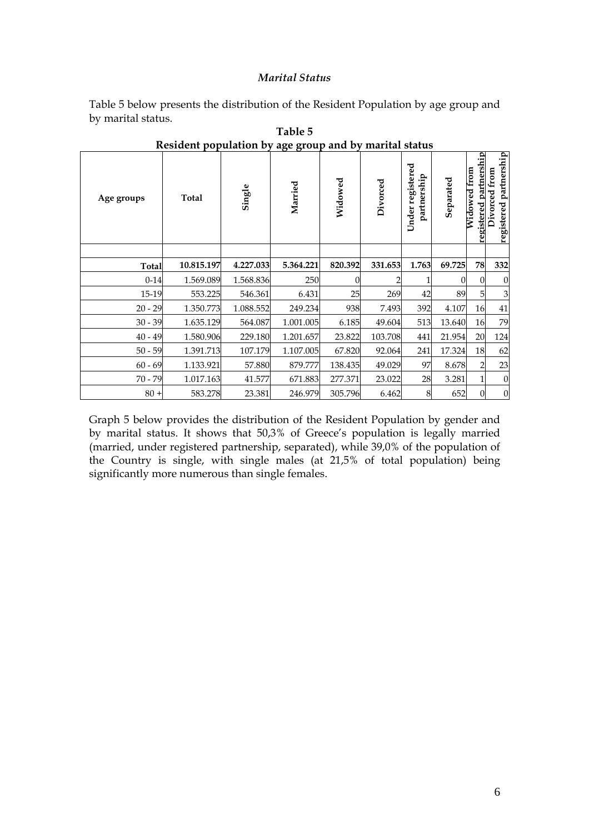#### Marital Status

Table 5 below presents the distribution of the Resident Population by age group and by marital status.

| Age groups   | Total      | Single    | Married   | Widowed  | Divorced | Under registered<br>partnership | Separated | partnership<br>Widowed from<br>registered | registered partnership<br>Divorced from |
|--------------|------------|-----------|-----------|----------|----------|---------------------------------|-----------|-------------------------------------------|-----------------------------------------|
|              |            |           |           |          |          |                                 |           |                                           |                                         |
| <b>Total</b> | 10.815.197 | 4.227.033 | 5.364.221 | 820.392  | 331.653  | 1.763                           | 69.725    | 78                                        | 332                                     |
| $0 - 14$     | 1.569.089  | 1.568.836 | 250       | $\Omega$ |          |                                 |           | 0                                         | $\theta$                                |
| 15-19        | 553.225    | 546.361   | 6.431     | 25       | 269      | 42                              | 89        | 5                                         | 3                                       |
| $20 - 29$    | 1.350.773  | 1.088.552 | 249.234   | 938      | 7.493    | 392                             | 4.107     | 16                                        | 41                                      |
| $30 - 39$    | 1.635.129  | 564.087   | 1.001.005 | 6.185    | 49.604   | 513                             | 13.640    | 16                                        | 79                                      |
| $40 - 49$    | 1.580.906  | 229.180   | 1.201.657 | 23.822   | 103.708  | 441                             | 21.954    | 20                                        | 124                                     |
| $50 - 59$    | 1.391.713  | 107.179   | 1.107.005 | 67.820   | 92.064   | 241                             | 17.324    | 18                                        | 62                                      |
| $60 - 69$    | 1.133.921  | 57.880    | 879.777   | 138.435  | 49.029   | 97                              | 8.678     | 2                                         | 23                                      |
| $70 - 79$    | 1.017.163  | 41.577    | 671.883   | 277.371  | 23.022   | 28                              | 3.281     |                                           | $\overline{0}$                          |
| $80 +$       | 583.278    | 23.381    | 246.979   | 305.796  | 6.462    | 8                               | 652       | $\boldsymbol{0}$                          | $\overline{0}$                          |

Table 5 Resident population by age group and by marital status

Graph 5 below provides the distribution of the Resident Population by gender and by marital status. It shows that 50,3% of Greece's population is legally married (married, under registered partnership, separated), while 39,0% of the population of the Country is single, with single males (at 21,5% of total population) being significantly more numerous than single females.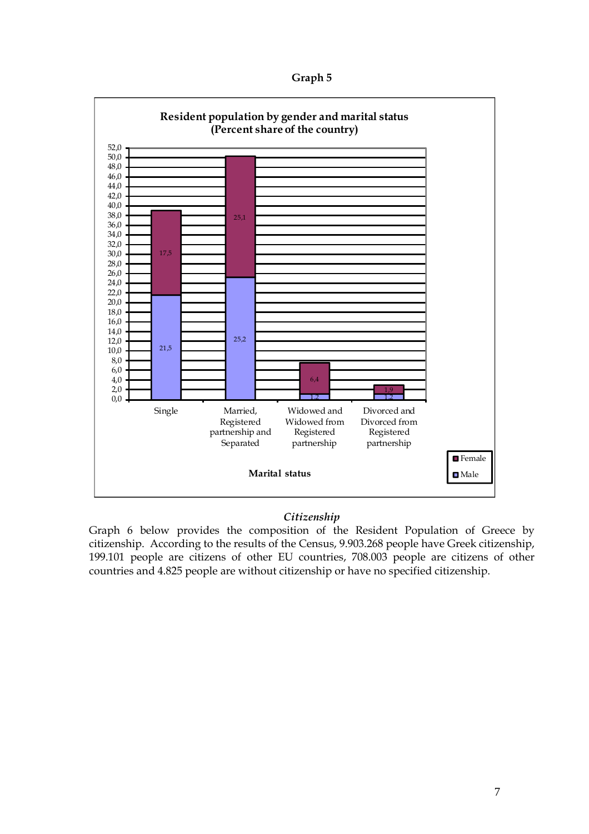Graph 5



#### **Citizenship**

Graph 6 below provides the composition of the Resident Population of Greece by citizenship. According to the results of the Census, 9.903.268 people have Greek citizenship, 199.101 people are citizens of other EU countries, 708.003 people are citizens of other countries and 4.825 people are without citizenship or have no specified citizenship.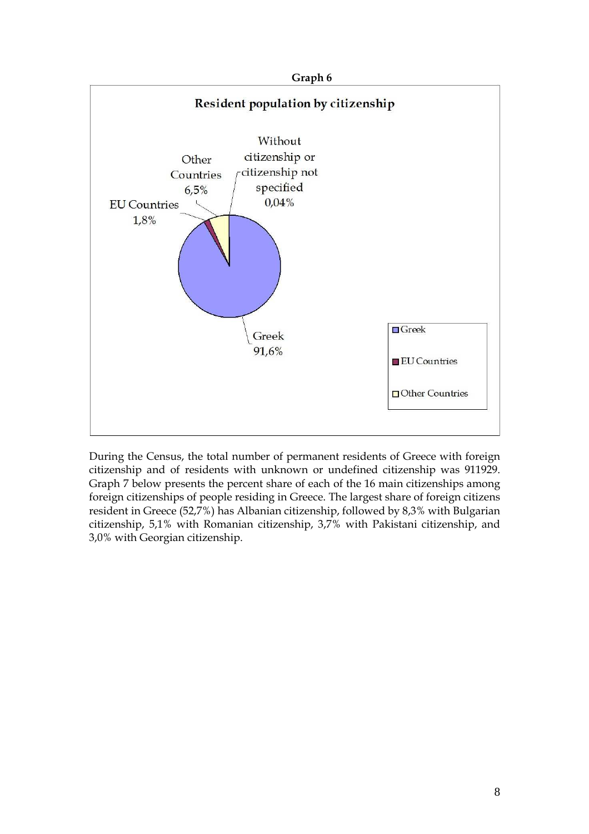

During the Census, the total number of permanent residents of Greece with foreign citizenship and of residents with unknown or undefined citizenship was 911929. Graph 7 below presents the percent share of each of the 16 main citizenships among foreign citizenships of people residing in Greece. The largest share of foreign citizens resident in Greece (52,7%) has Albanian citizenship, followed by 8,3% with Bulgarian citizenship, 5,1% with Romanian citizenship, 3,7% with Pakistani citizenship, and 3,0% with Georgian citizenship.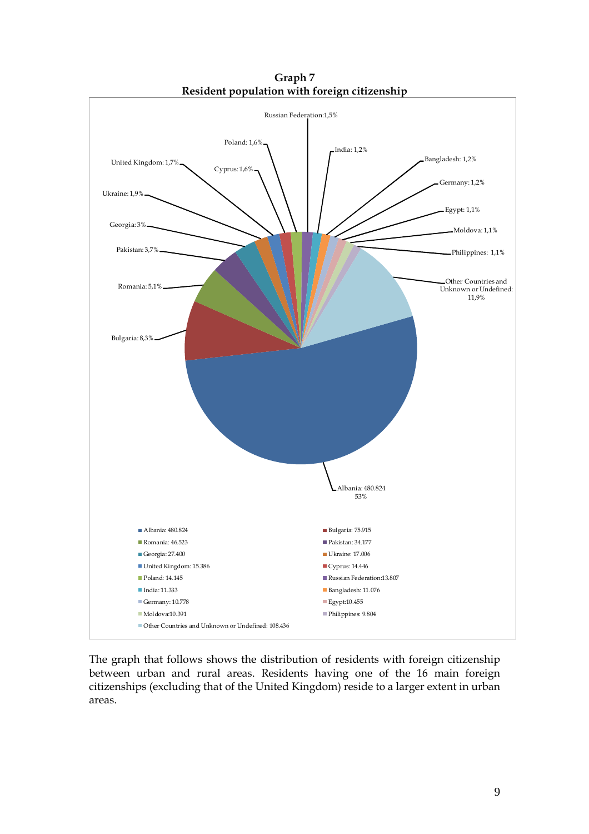

Graph 7 Resident population with foreign citizenship

The graph that follows shows the distribution of residents with foreign citizenship between urban and rural areas. Residents having one of the 16 main foreign citizenships (excluding that of the United Kingdom) reside to a larger extent in urban areas.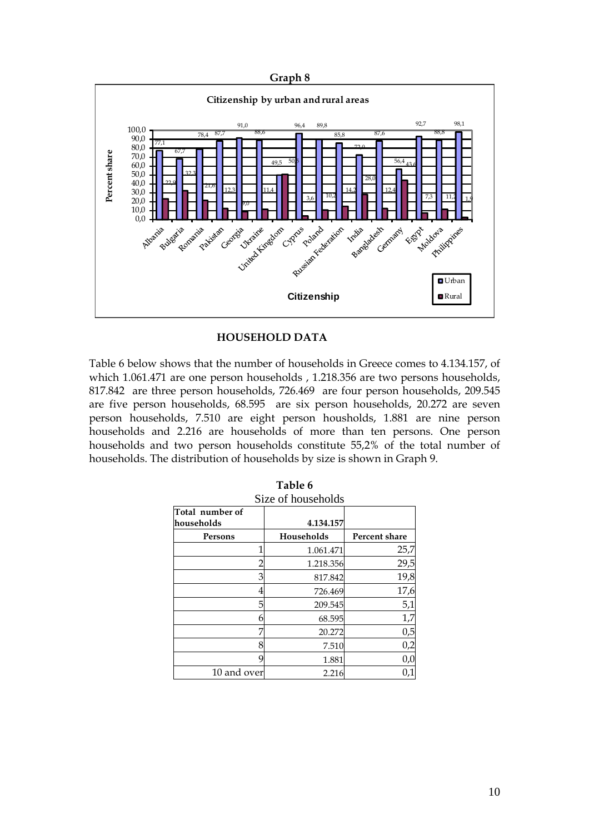

## HOUSEHOLD DATA

Table 6 below shows that the number of households in Greece comes to 4.134.157, of which 1.061.471 are one person households , 1.218.356 are two persons households, 817.842 are three person households, 726.469 are four person households, 209.545 are five person households, 68.595 are six person households, 20.272 are seven person households, 7.510 are eight person housholds, 1.881 are nine person households and 2.216 are households of more than ten persons. One person households and two person households constitute 55,2% of the total number of households. The distribution of households by size is shown in Graph 9.

| Total number of |   |            |               |
|-----------------|---|------------|---------------|
| households      |   | 4.134.157  |               |
| Persons         |   | Households | Percent share |
|                 |   | 1.061.471  | 25,7          |
|                 |   | 1.218.356  | 29,5          |
|                 | З | 817.842    | 19,8          |
|                 |   | 726.469    | 17,6          |
|                 | 5 | 209.545    | 5,1           |
|                 | n | 68.595     | 1,7           |
|                 | 7 | 20.272     | 0,5           |
|                 | 8 | 7.510      | 0,2           |
|                 | g | 1.881      | 0,0           |
| 10 and over     |   | 2.216      | 0,1           |

| Table 6 |  |
|---------|--|
|         |  |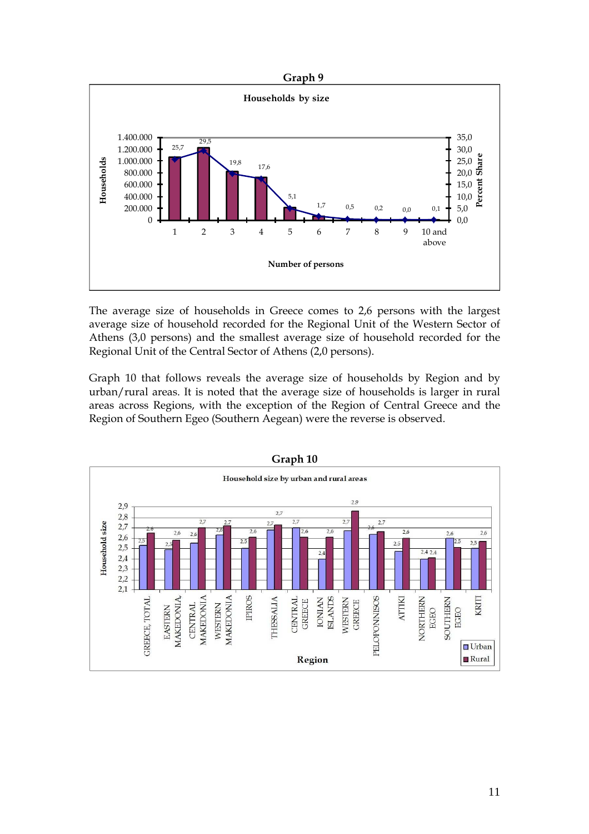



The average size of households in Greece comes to 2,6 persons with the largest average size of household recorded for the Regional Unit of the Western Sector of Athens (3,0 persons) and the smallest average size of household recorded for the Regional Unit of the Central Sector of Athens (2,0 persons).

Graph 10 that follows reveals the average size of households by Region and by urban/rural areas. It is noted that the average size of households is larger in rural areas across Regions, with the exception of the Region of Central Greece and the Region of Southern Egeo (Southern Aegean) were the reverse is observed.

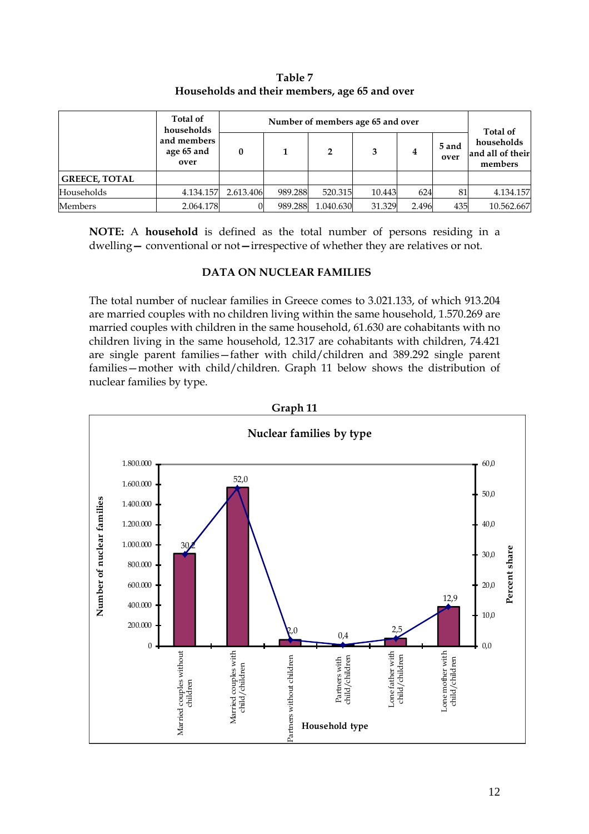|                      | Total of<br>households            |           |         |           | Number of members age 65 and over |       |               | Total of                                  |
|----------------------|-----------------------------------|-----------|---------|-----------|-----------------------------------|-------|---------------|-------------------------------------------|
|                      | and members<br>age 65 and<br>over |           |         | 2         | 3                                 | 4     | 5 and<br>over | households<br>and all of their<br>members |
| <b>GREECE, TOTAL</b> |                                   |           |         |           |                                   |       |               |                                           |
| Households           | 4.134.157                         | 2.613.406 | 989.288 | 520.315   | 10.443                            | 624   | 81            | 4.134.157                                 |
| <b>Members</b>       | 2.064.178                         |           | 989.288 | 1.040.630 | 31.329                            | 2.496 | 435           | 10.562.667                                |

Table 7 Households and their members, age 65 and over

NOTE: A household is defined as the total number of persons residing in a dwelling— conventional or not—irrespective of whether they are relatives or not.

#### DATA ON NUCLEAR FAMILIES

The total number of nuclear families in Greece comes to 3.021.133, of which 913.204 are married couples with no children living within the same household, 1.570.269 are married couples with children in the same household, 61.630 are cohabitants with no children living in the same household, 12.317 are cohabitants with children, 74.421 are single parent families—father with child/children and 389.292 single parent families—mother with child/children. Graph 11 below shows the distribution of nuclear families by type.

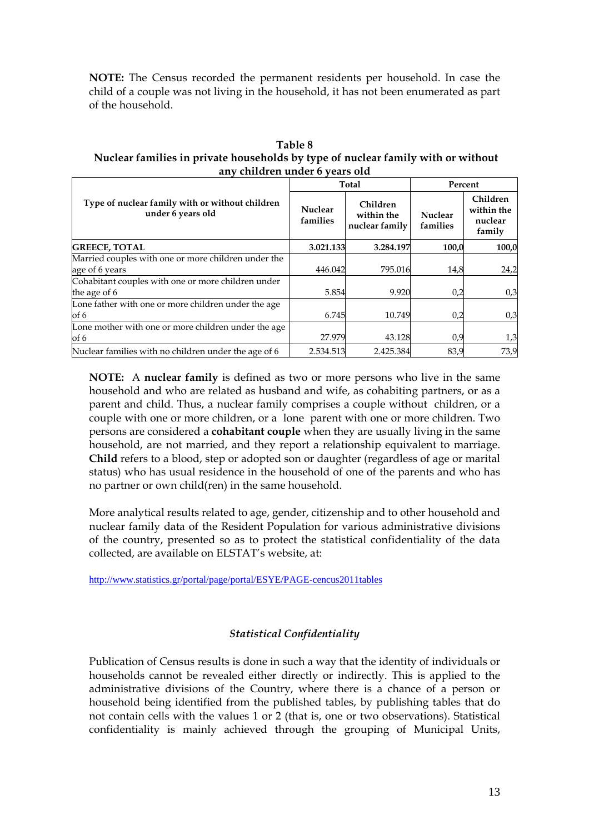NOTE: The Census recorded the permanent residents per household. In case the child of a couple was not living in the household, it has not been enumerated as part of the household.

Table 8 Nuclear families in private households by type of nuclear family with or without any children under 6 years old

|                                                                       |                            | Total                                    | Percent                    |                                             |  |
|-----------------------------------------------------------------------|----------------------------|------------------------------------------|----------------------------|---------------------------------------------|--|
| Type of nuclear family with or without children<br>under 6 years old  | <b>Nuclear</b><br>families | Children<br>within the<br>nuclear family | <b>Nuclear</b><br>families | Children<br>within the<br>nuclear<br>family |  |
| <b>GREECE, TOTAL</b>                                                  | 3.021.133                  | 3.284.197                                | 100,0                      | 100,0                                       |  |
| Married couples with one or more children under the<br>age of 6 years | 446.042                    | 795.016                                  | 14,8                       | 24,2                                        |  |
| Cohabitant couples with one or more children under<br>the age of 6    | 5.854                      | 9.920                                    | 0,2                        | 0,3                                         |  |
| Lone father with one or more children under the age<br>of 6           | 6.745                      | 10.749                                   | 0,2                        | 0,3                                         |  |
| Lone mother with one or more children under the age<br>of 6           | 27.979                     | 43.128                                   | 0,9                        | 1,3                                         |  |
| Nuclear families with no children under the age of 6                  | 2.534.513                  | 2.425.384                                | 83,9                       | 73,9                                        |  |

NOTE: A nuclear family is defined as two or more persons who live in the same household and who are related as husband and wife, as cohabiting partners, or as a parent and child. Thus, a nuclear family comprises a couple without children, or a couple with one or more children, or a lone parent with one or more children. Two persons are considered a cohabitant couple when they are usually living in the same household, are not married, and they report a relationship equivalent to marriage. Child refers to a blood, step or adopted son or daughter (regardless of age or marital status) who has usual residence in the household of one of the parents and who has no partner or own child(ren) in the same household.

More analytical results related to age, gender, citizenship and to other household and nuclear family data of the Resident Population for various administrative divisions of the country, presented so as to protect the statistical confidentiality of the data collected, are available on ELSTAT's website, at:

http://www.statistics.gr/portal/page/portal/ESYE/PAGE-cencus2011tables

## Statistical Confidentiality

Publication of Census results is done in such a way that the identity of individuals or households cannot be revealed either directly or indirectly. This is applied to the administrative divisions of the Country, where there is a chance of a person or household being identified from the published tables, by publishing tables that do not contain cells with the values 1 or 2 (that is, one or two observations). Statistical confidentiality is mainly achieved through the grouping of Municipal Units,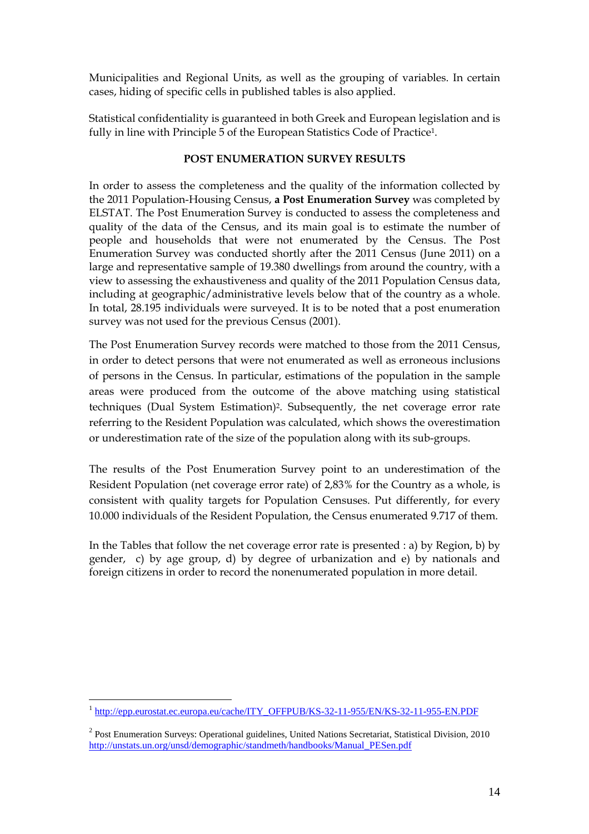Municipalities and Regional Units, as well as the grouping of variables. In certain cases, hiding of specific cells in published tables is also applied.

Statistical confidentiality is guaranteed in both Greek and European legislation and is fully in line with Principle 5 of the European Statistics Code of Practice1.

## POST ENUMERATION SURVEY RESULTS

In order to assess the completeness and the quality of the information collected by the 2011 Population-Housing Census, a Post Enumeration Survey was completed by ELSTAT. The Post Enumeration Survey is conducted to assess the completeness and quality of the data of the Census, and its main goal is to estimate the number of people and households that were not enumerated by the Census. The Post Enumeration Survey was conducted shortly after the 2011 Census (June 2011) on a large and representative sample of 19.380 dwellings from around the country, with a view to assessing the exhaustiveness and quality of the 2011 Population Census data, including at geographic/administrative levels below that of the country as a whole. In total, 28.195 individuals were surveyed. It is to be noted that a post enumeration survey was not used for the previous Census (2001).

The Post Enumeration Survey records were matched to those from the 2011 Census, in order to detect persons that were not enumerated as well as erroneous inclusions of persons in the Census. In particular, estimations of the population in the sample areas were produced from the outcome of the above matching using statistical techniques (Dual System Estimation)2. Subsequently, the net coverage error rate referring to the Resident Population was calculated, which shows the overestimation or underestimation rate of the size of the population along with its sub-groups.

The results of the Post Enumeration Survey point to an underestimation of the Resident Population (net coverage error rate) of 2,83% for the Country as a whole, is consistent with quality targets for Population Censuses. Put differently, for every 10.000 individuals of the Resident Population, the Census enumerated 9.717 of them.

In the Tables that follow the net coverage error rate is presented : a) by Region, b) by gender, c) by age group, d) by degree of urbanization and e) by nationals and foreign citizens in order to record the nonenumerated population in more detail.

 1 http://epp.eurostat.ec.europa.eu/cache/ITY\_OFFPUB/KS-32-11-955/EN/KS-32-11-955-EN.PDF

<sup>&</sup>lt;sup>2</sup> Post Enumeration Surveys: Operational guidelines, United Nations Secretariat, Statistical Division, 2010 http://unstats.un.org/unsd/demographic/standmeth/handbooks/Manual\_PESen.pdf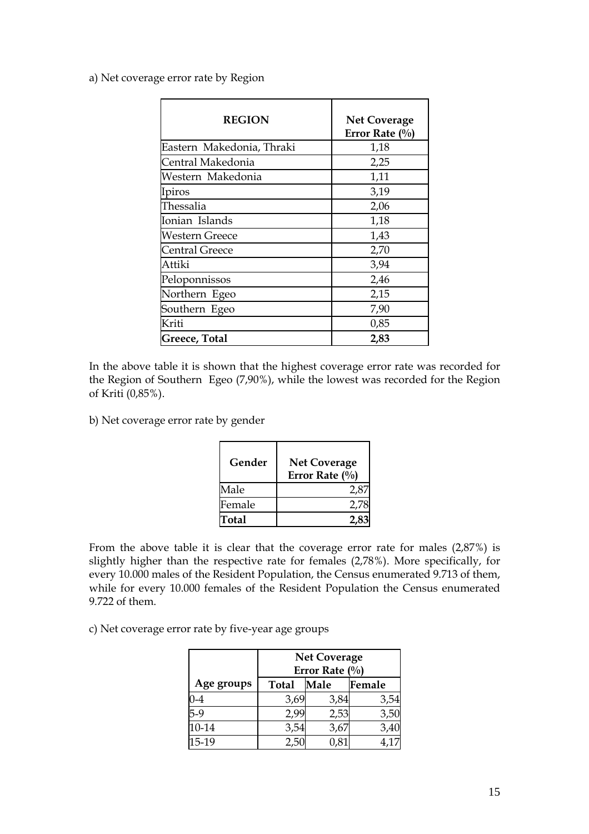a) Net coverage error rate by Region

| <b>REGION</b>             | <b>Net Coverage</b><br>Error Rate $(\%$ |
|---------------------------|-----------------------------------------|
| Eastern Makedonia, Thraki | 1,18                                    |
| Central Makedonia         | 2,25                                    |
| Western Makedonia         | 1,11                                    |
| Ipiros                    | 3,19                                    |
| Thessalia                 | 2,06                                    |
| Ionian Islands            | 1,18                                    |
| <b>Western Greece</b>     | 1,43                                    |
| <b>Central Greece</b>     | 2,70                                    |
| Attiki                    | 3,94                                    |
| Peloponnissos             | 2,46                                    |
| Northern Egeo             | 2,15                                    |
| Southern Egeo             | 7,90                                    |
| Kriti                     | 0,85                                    |
| Greece, Total             | 2,83                                    |

In the above table it is shown that the highest coverage error rate was recorded for the Region of Southern Egeo (7,90%), while the lowest was recorded for the Region of Kriti (0,85%).

b) Net coverage error rate by gender

| Gender | <b>Net Coverage</b><br>Error Rate $(\%$ |
|--------|-----------------------------------------|
| Male   | 2.8                                     |
| Female | 2.78                                    |
| Total  |                                         |

From the above table it is clear that the coverage error rate for males (2,87%) is slightly higher than the respective rate for females (2,78%). More specifically, for every 10.000 males of the Resident Population, the Census enumerated 9.713 of them, while for every 10.000 females of the Resident Population the Census enumerated 9.722 of them.

c) Net coverage error rate by five-year age groups

|            | <b>Net Coverage</b><br>Error Rate $(\%)$ |      |        |
|------------|------------------------------------------|------|--------|
| Age groups | <b>Total</b>                             | Male | Female |
| 0-4        | 3,69                                     | 3,84 | 3,54   |
| $5-9$      | 2,99                                     | 2,53 | 3,50   |
| 10-14      | 3,54                                     | 3,67 | 3,40   |
| 15-19      | 2.50                                     |      | 4,17   |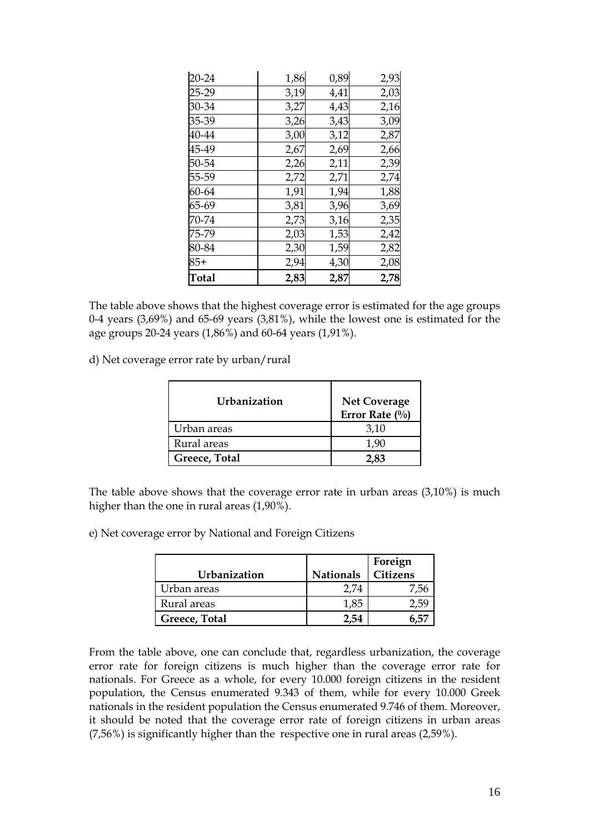| $20 - 24$    | 1,86 | 0,89 | 2,93 |
|--------------|------|------|------|
| 25-29        | 3,19 | 4,41 | 2,03 |
| 30-34        | 3,27 | 4,43 | 2,16 |
| 35-39        | 3,26 | 3,43 | 3,09 |
| 40-44        | 3,00 | 3,12 | 2,87 |
| 45-49        | 2,67 | 2,69 | 2,66 |
| 50-54        | 2,26 | 2,11 | 2,39 |
| 55-59        | 2,72 | 2,71 | 2,74 |
| 60-64        | 1,91 | 1,94 | 1,88 |
| 65-69        | 3,81 | 3,96 | 3,69 |
| 70-74        | 2,73 | 3,16 | 2,35 |
| 75-79        | 2,03 | 1,53 | 2,42 |
| 80-84        | 2,30 | 1,59 | 2,82 |
| $85+$        | 2,94 | 4,30 | 2,08 |
| <b>Total</b> | 2,83 | 2,87 | 2,78 |

The table above shows that the highest coverage error is estimated for the age groups 0-4 years (3,69%) and 65-69 years (3,81%), while the lowest one is estimated for the age groups 20-24 years (1,86%) and 60-64 years (1,91%).

d) Net coverage error rate by urban/rural

| Urbanization  | <b>Net Coverage</b><br>Error Rate $(\%)$ |
|---------------|------------------------------------------|
| Urban areas   | 3,10                                     |
| Rural areas   | 1.90                                     |
| Greece, Total | 2.83                                     |

The table above shows that the coverage error rate in urban areas (3,10%) is much higher than the one in rural areas (1,90%).

e) Net coverage error by National and Foreign Citizens

| Urbanization  | <b>Nationals</b> | Foreign<br>Citizens |
|---------------|------------------|---------------------|
| Urban areas   | 2.74             |                     |
| Rural areas   | 1,85             |                     |
| Greece, Total | -54              |                     |

From the table above, one can conclude that, regardless urbanization, the coverage error rate for foreign citizens is much higher than the coverage error rate for nationals. For Greece as a whole, for every 10.000 foreign citizens in the resident population, the Census enumerated 9.343 of them, while for every 10.000 Greek nationals in the resident population the Census enumerated 9.746 of them. Moreover, it should be noted that the coverage error rate of foreign citizens in urban areas (7,56%) is significantly higher than the respective one in rural areas (2,59%).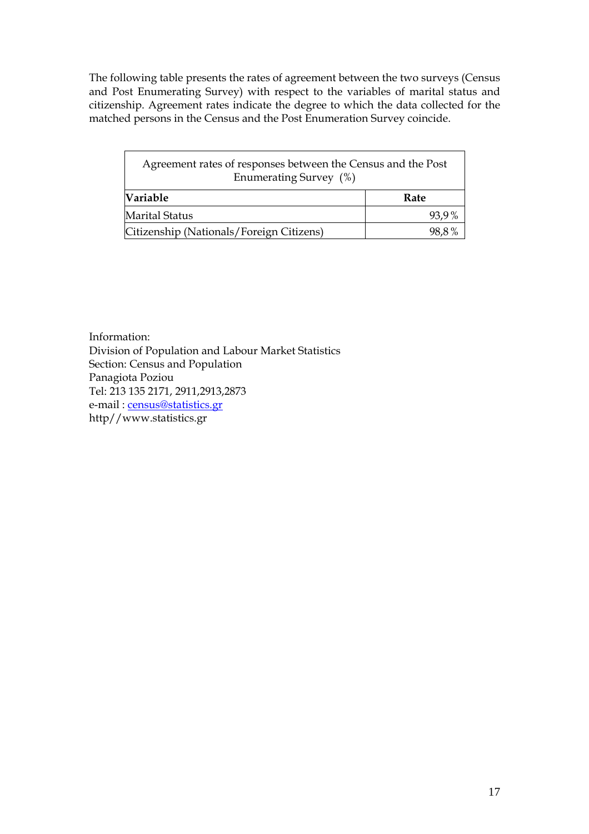The following table presents the rates of agreement between the two surveys (Census and Post Enumerating Survey) with respect to the variables of marital status and citizenship. Agreement rates indicate the degree to which the data collected for the matched persons in the Census and the Post Enumeration Survey coincide.

| Agreement rates of responses between the Census and the Post<br>Enumerating Survey (%) |       |  |
|----------------------------------------------------------------------------------------|-------|--|
| <b>Variable</b>                                                                        | Rate  |  |
| <b>Marital Status</b>                                                                  | 93,9% |  |
| Citizenship (Nationals/Foreign Citizens)                                               | 98.8% |  |

Information: Division of Population and Labour Market Statistics Section: Census and Population Panagiota Poziou Tel: 213 135 2171, 2911,2913,2873 e-mail : <u>census@statistics.gr</u> http//www.statistics.gr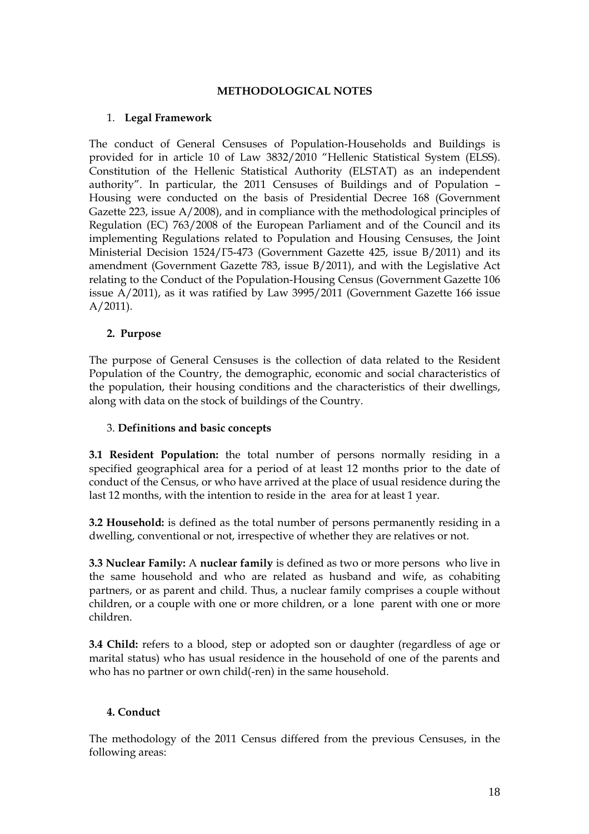#### METHODOLOGICAL NOTES

## 1. Legal Framework

The conduct of General Censuses of Population-Households and Buildings is provided for in article 10 of Law 3832/2010 "Hellenic Statistical System (ELSS). Constitution of the Hellenic Statistical Authority (ELSTAT) as an independent authority". In particular, the 2011 Censuses of Buildings and of Population – Housing were conducted on the basis of Presidential Decree 168 (Government Gazette 223, issue A/2008), and in compliance with the methodological principles of Regulation (EC) 763/2008 of the European Parliament and of the Council and its implementing Regulations related to Population and Housing Censuses, the Joint Ministerial Decision 1524/Γ5-473 (Government Gazette 425, issue B/2011) and its amendment (Government Gazette 783, issue B/2011), and with the Legislative Act relating to the Conduct of the Population-Housing Census (Government Gazette 106 issue A/2011), as it was ratified by Law 3995/2011 (Government Gazette 166 issue A/2011).

## 2. Purpose

The purpose of General Censuses is the collection of data related to the Resident Population of the Country, the demographic, economic and social characteristics of the population, their housing conditions and the characteristics of their dwellings, along with data on the stock of buildings of the Country.

#### 3. Definitions and basic concepts

3.1 Resident Population: the total number of persons normally residing in a specified geographical area for a period of at least 12 months prior to the date of conduct of the Census, or who have arrived at the place of usual residence during the last 12 months, with the intention to reside in the area for at least 1 year.

3.2 Household: is defined as the total number of persons permanently residing in a dwelling, conventional or not, irrespective of whether they are relatives or not.

3.3 Nuclear Family: A nuclear family is defined as two or more persons who live in the same household and who are related as husband and wife, as cohabiting partners, or as parent and child. Thus, a nuclear family comprises a couple without children, or a couple with one or more children, or a lone parent with one or more children.

3.4 Child: refers to a blood, step or adopted son or daughter (regardless of age or marital status) who has usual residence in the household of one of the parents and who has no partner or own child(-ren) in the same household.

## 4. Conduct

The methodology of the 2011 Census differed from the previous Censuses, in the following areas: